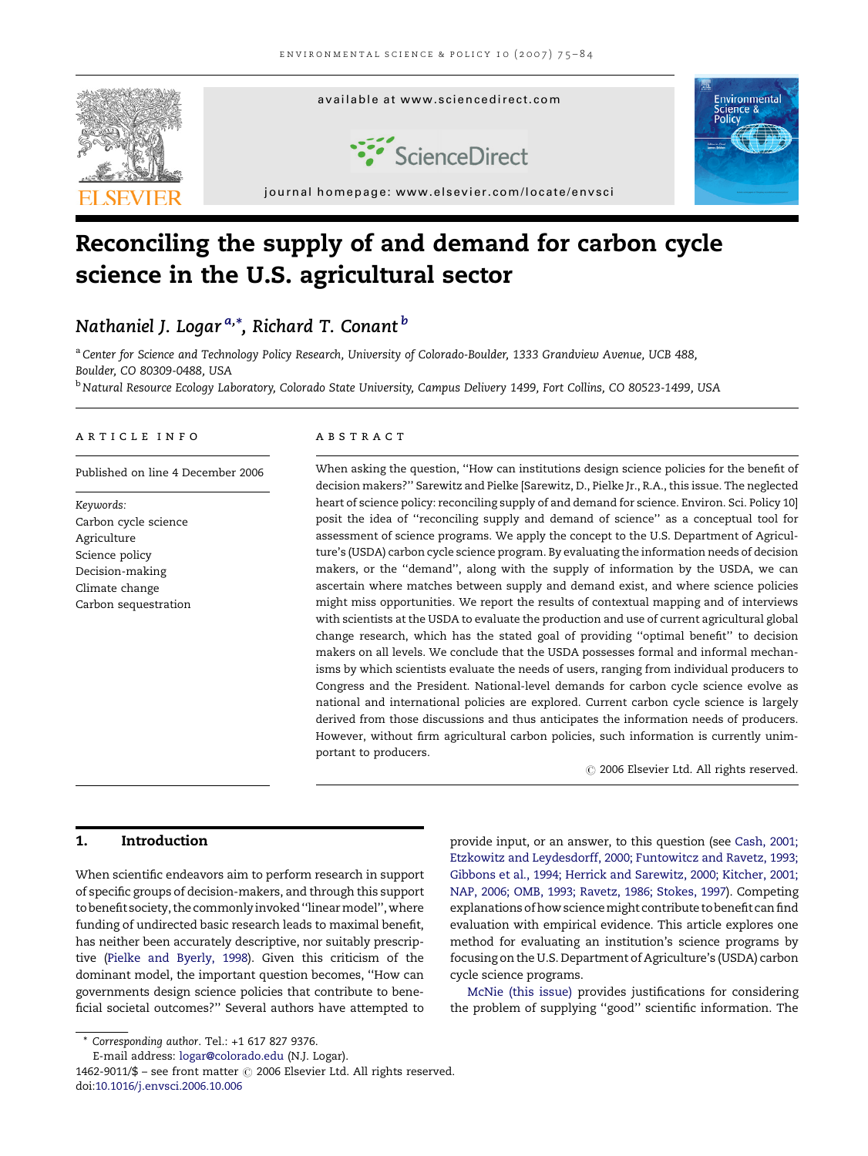

# Reconciling the supply of and demand for carbon cycle science in the U.S. agricultural sector

## Nathaniel J. Logar <sup>a,</sup>\*, Richard T. Conant <sup>b</sup>

a Center for Science and Technology Policy Research, University of Colorado-Boulder, 1333 Grandview Avenue, UCB 488, Boulder, CO 80309-0488, USA

<sup>b</sup> Natural Resource Ecology Laboratory, Colorado State University, Campus Delivery 1499, Fort Collins, CO 80523-1499, USA

#### article info

Published on line 4 December 2006

Keywords: Carbon cycle science Agriculture Science policy Decision-making Climate change Carbon sequestration

## **ABSTRACT**

When asking the question, ''How can institutions design science policies for the benefit of decision makers?'' Sarewitz and Pielke [Sarewitz, D., Pielke Jr., R.A., this issue. The neglected heart of science policy: reconciling supply of and demand for science. Environ. Sci. Policy 10] posit the idea of ''reconciling supply and demand of science'' as a conceptual tool for assessment of science programs. We apply the concept to the U.S. Department of Agriculture's (USDA) carbon cycle science program. By evaluating the information needs of decision makers, or the ''demand'', along with the supply of information by the USDA, we can ascertain where matches between supply and demand exist, and where science policies might miss opportunities. We report the results of contextual mapping and of interviews with scientists at the USDA to evaluate the production and use of current agricultural global change research, which has the stated goal of providing ''optimal benefit'' to decision makers on all levels. We conclude that the USDA possesses formal and informal mechanisms by which scientists evaluate the needs of users, ranging from individual producers to Congress and the President. National-level demands for carbon cycle science evolve as national and international policies are explored. Current carbon cycle science is largely derived from those discussions and thus anticipates the information needs of producers. However, without firm agricultural carbon policies, such information is currently unimportant to producers.

 $\odot$  2006 Elsevier Ltd. All rights reserved.

## 1. Introduction

When scientific endeavors aim to perform research in support of specific groups of decision-makers, and through this support to benefit society, the commonly invoked "linear model", where funding of undirected basic research leads to maximal benefit, has neither been accurately descriptive, nor suitably prescriptive ([Pielke and Byerly, 1998](#page-9-0)). Given this criticism of the dominant model, the important question becomes, ''How can governments design science policies that contribute to beneficial societal outcomes?'' Several authors have attempted to

provide input, or an answer, to this question (see [Cash, 2001;](#page-8-0) [Etzkowitz and Leydesdorff, 2000; Funtowitcz and Ravetz, 1993;](#page-8-0) [Gibbons et al., 1994; Herrick and Sarewitz, 2000; Kitcher, 2001;](#page-8-0) [NAP, 2006; OMB, 1993; Ravetz, 1986; Stokes, 1997](#page-8-0)). Competing explanations of how science might contribute to benefit can find evaluation with empirical evidence. This article explores one method for evaluating an institution's science programs by focusing on the U.S. Department of Agriculture's (USDA) carbon cycle science programs.

[McNie \(this issue\)](#page-9-0) provides justifications for considering the problem of supplying ''good'' scientific information. The

\* Corresponding author. Tel.: +1 617 827 9376.

E-mail address: [logar@colorado.edu](mailto:logar@colorado.edu) (N.J. Logar).

<sup>1462-9011/\$ -</sup> see front matter © 2006 Elsevier Ltd. All rights reserved. doi[:10.1016/j.envsci.2006.10.006](http://dx.doi.org/10.1016/j.envsci.2006.10.006)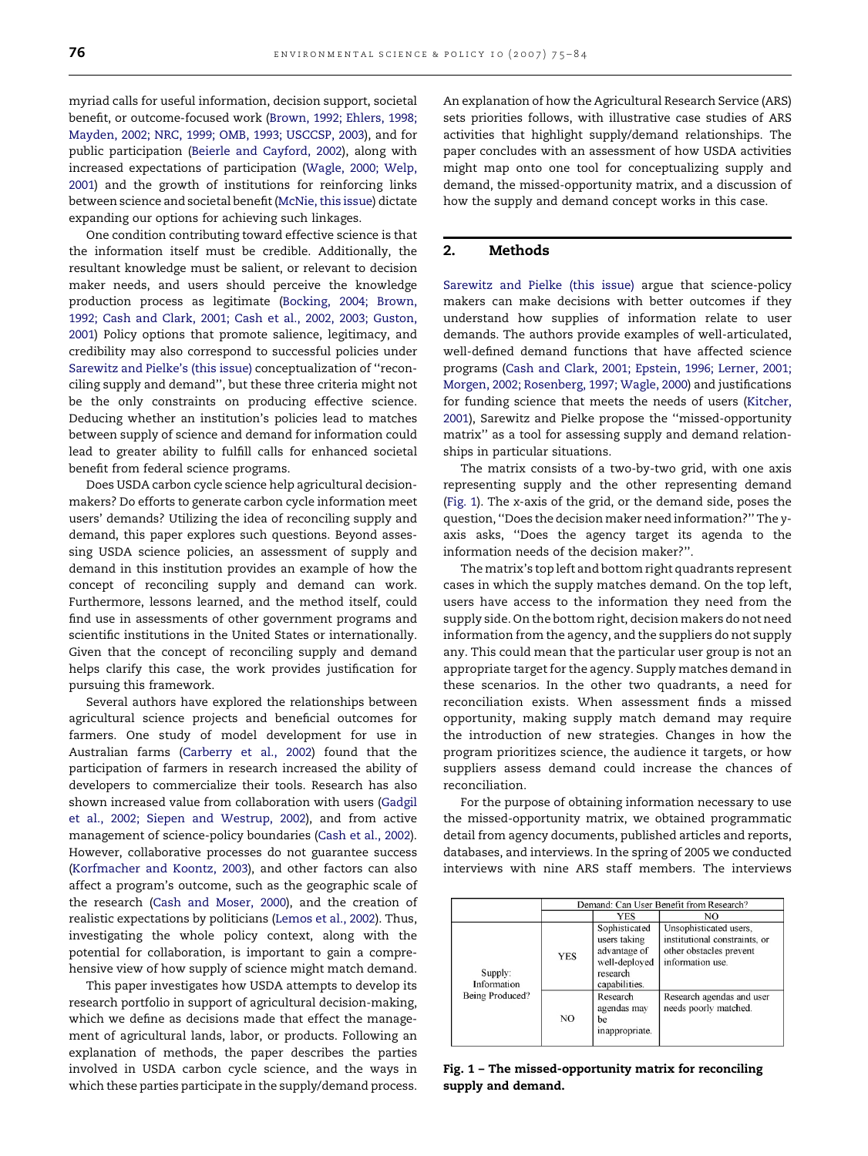myriad calls for useful information, decision support, societal benefit, or outcome-focused work ([Brown, 1992; Ehlers, 1998;](#page-8-0) [Mayden, 2002; NRC, 1999; OMB, 1993; USCCSP, 2003](#page-8-0)), and for public participation ([Beierle and Cayford, 2002\)](#page-8-0), along with increased expectations of participation ([Wagle, 2000; Welp,](#page-9-0) [2001\)](#page-9-0) and the growth of institutions for reinforcing links between science and societal benefit ([McNie, this issue\)](#page-9-0) dictate expanding our options for achieving such linkages.

One condition contributing toward effective science is that the information itself must be credible. Additionally, the resultant knowledge must be salient, or relevant to decision maker needs, and users should perceive the knowledge production process as legitimate [\(Bocking, 2004; Brown,](#page-8-0) [1992; Cash and Clark, 2001; Cash et al., 2002, 2003; Guston,](#page-8-0) [2001\)](#page-8-0) Policy options that promote salience, legitimacy, and credibility may also correspond to successful policies under [Sarewitz and Pielke's \(this issue\)](#page-9-0) conceptualization of ''reconciling supply and demand'', but these three criteria might not be the only constraints on producing effective science. Deducing whether an institution's policies lead to matches between supply of science and demand for information could lead to greater ability to fulfill calls for enhanced societal benefit from federal science programs.

Does USDA carbon cycle science help agricultural decisionmakers? Do efforts to generate carbon cycle information meet users' demands? Utilizing the idea of reconciling supply and demand, this paper explores such questions. Beyond assessing USDA science policies, an assessment of supply and demand in this institution provides an example of how the concept of reconciling supply and demand can work. Furthermore, lessons learned, and the method itself, could find use in assessments of other government programs and scientific institutions in the United States or internationally. Given that the concept of reconciling supply and demand helps clarify this case, the work provides justification for pursuing this framework.

Several authors have explored the relationships between agricultural science projects and beneficial outcomes for farmers. One study of model development for use in Australian farms [\(Carberry et al., 2002\)](#page-8-0) found that the participation of farmers in research increased the ability of developers to commercialize their tools. Research has also shown increased value from collaboration with users ([Gadgil](#page-8-0) [et al., 2002; Siepen and Westrup, 2002\)](#page-8-0), and from active management of science-policy boundaries [\(Cash et al., 2002\)](#page-8-0). However, collaborative processes do not guarantee success ([Korfmacher and Koontz, 2003](#page-9-0)), and other factors can also affect a program's outcome, such as the geographic scale of the research [\(Cash and Moser, 2000](#page-8-0)), and the creation of realistic expectations by politicians [\(Lemos et al., 2002\)](#page-9-0). Thus, investigating the whole policy context, along with the potential for collaboration, is important to gain a comprehensive view of how supply of science might match demand.

This paper investigates how USDA attempts to develop its research portfolio in support of agricultural decision-making, which we define as decisions made that effect the management of agricultural lands, labor, or products. Following an explanation of methods, the paper describes the parties involved in USDA carbon cycle science, and the ways in which these parties participate in the supply/demand process.

An explanation of how the Agricultural Research Service (ARS) sets priorities follows, with illustrative case studies of ARS activities that highlight supply/demand relationships. The paper concludes with an assessment of how USDA activities might map onto one tool for conceptualizing supply and demand, the missed-opportunity matrix, and a discussion of how the supply and demand concept works in this case.

## 2. Methods

[Sarewitz and Pielke \(this issue\)](#page-9-0) argue that science-policy makers can make decisions with better outcomes if they understand how supplies of information relate to user demands. The authors provide examples of well-articulated, well-defined demand functions that have affected science programs [\(Cash and Clark, 2001; Epstein, 1996; Lerner, 2001;](#page-8-0) [Morgen, 2002; Rosenberg, 1997; Wagle, 2000\)](#page-8-0) and justifications for funding science that meets the needs of users ([Kitcher,](#page-9-0) [2001\)](#page-9-0), Sarewitz and Pielke propose the ''missed-opportunity matrix'' as a tool for assessing supply and demand relationships in particular situations.

The matrix consists of a two-by-two grid, with one axis representing supply and the other representing demand (Fig. 1). The x-axis of the grid, or the demand side, poses the question, ''Does the decision maker need information?'' The yaxis asks, ''Does the agency target its agenda to the information needs of the decision maker?''.

The matrix's top left and bottom right quadrants represent cases in which the supply matches demand. On the top left, users have access to the information they need from the supply side. On the bottom right, decision makers do not need information from the agency, and the suppliers do not supply any. This could mean that the particular user group is not an appropriate target for the agency. Supply matches demand in these scenarios. In the other two quadrants, a need for reconciliation exists. When assessment finds a missed opportunity, making supply match demand may require the introduction of new strategies. Changes in how the program prioritizes science, the audience it targets, or how suppliers assess demand could increase the chances of reconciliation.

For the purpose of obtaining information necessary to use the missed-opportunity matrix, we obtained programmatic detail from agency documents, published articles and reports, databases, and interviews. In the spring of 2005 we conducted interviews with nine ARS staff members. The interviews

|                        | Demand: Can User Benefit from Research? |                                                                                             |                                                                                                        |  |
|------------------------|-----------------------------------------|---------------------------------------------------------------------------------------------|--------------------------------------------------------------------------------------------------------|--|
|                        |                                         | YES                                                                                         | NO                                                                                                     |  |
| Supply:<br>Information | <b>YES</b>                              | Sophisticated<br>users taking<br>advantage of<br>well-deploved<br>research<br>capabilities. | Unsophisticated users.<br>institutional constraints, or<br>other obstacles prevent<br>information use. |  |
| Being Produced?        | N <sub>O</sub>                          | Research<br>agendas may<br>be<br>inappropriate.                                             | Research agendas and user<br>needs poorly matched.                                                     |  |

Fig. 1 – The missed-opportunity matrix for reconciling supply and demand.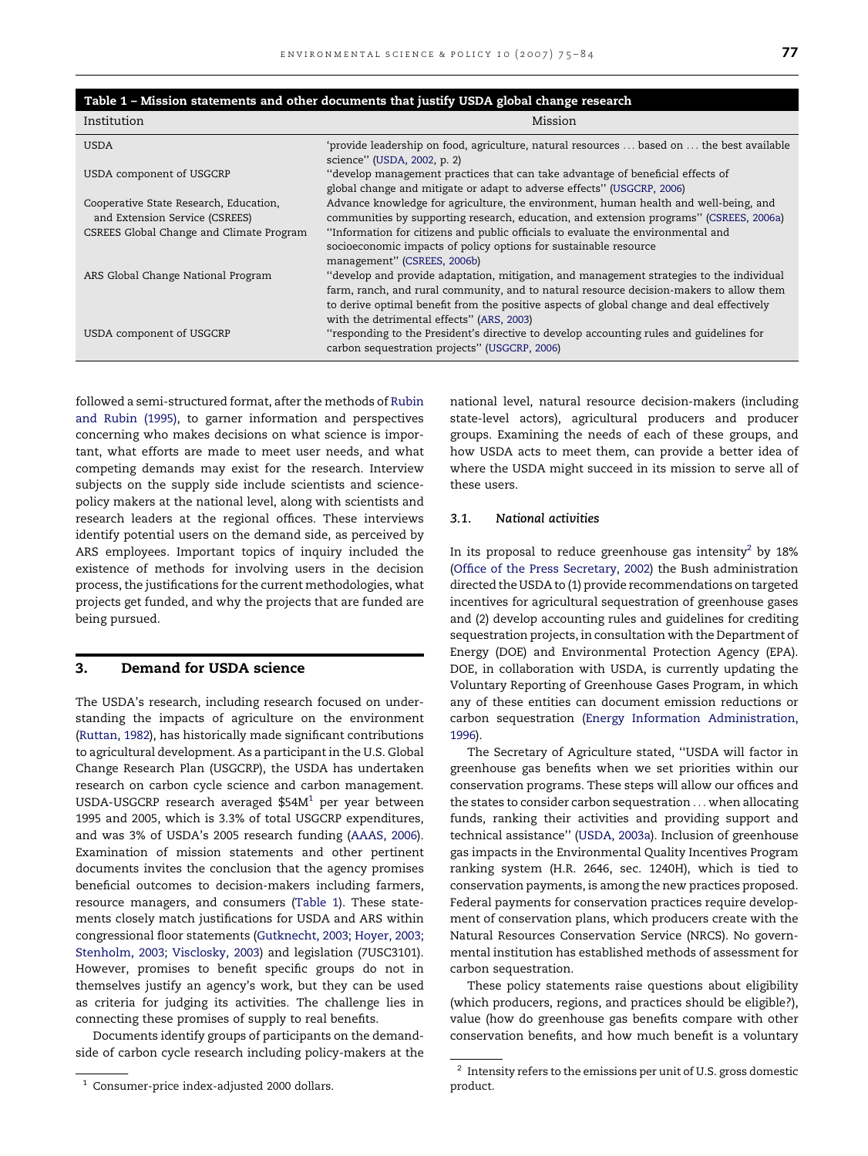|             | Table 1 - Mission Statements and other documents that justify OSDA global change research                            |                                                                                                                                                                                                                                                                                                                                                                       |  |  |  |  |
|-------------|----------------------------------------------------------------------------------------------------------------------|-----------------------------------------------------------------------------------------------------------------------------------------------------------------------------------------------------------------------------------------------------------------------------------------------------------------------------------------------------------------------|--|--|--|--|
| Institution |                                                                                                                      | Mission                                                                                                                                                                                                                                                                                                                                                               |  |  |  |  |
|             | <b>USDA</b>                                                                                                          | 'provide leadership on food, agriculture, natural resources  based on  the best available<br>science" (USDA, 2002, p. 2)                                                                                                                                                                                                                                              |  |  |  |  |
|             | USDA component of USGCRP                                                                                             | "develop management practices that can take advantage of beneficial effects of<br>global change and mitigate or adapt to adverse effects" (USGCRP, 2006)                                                                                                                                                                                                              |  |  |  |  |
|             | Cooperative State Research, Education,<br>and Extension Service (CSREES)<br>CSREES Global Change and Climate Program | Advance knowledge for agriculture, the environment, human health and well-being, and<br>communities by supporting research, education, and extension programs" (CSREES, 2006a)<br>"Information for citizens and public officials to evaluate the environmental and<br>socioeconomic impacts of policy options for sustainable resource<br>management" (CSREES, 2006b) |  |  |  |  |
|             | ARS Global Change National Program                                                                                   | "develop and provide adaptation, mitigation, and management strategies to the individual<br>farm, ranch, and rural community, and to natural resource decision-makers to allow them<br>to derive optimal benefit from the positive aspects of global change and deal effectively<br>with the detrimental effects" (ARS, 2003)                                         |  |  |  |  |
|             | USDA component of USGCRP                                                                                             | "responding to the President's directive to develop accounting rules and guidelines for<br>carbon sequestration projects" (USGCRP, 2006)                                                                                                                                                                                                                              |  |  |  |  |

## Table 1 – Mission statements and other documents that justify USDA global change research

followed a semi-structured format, after the methods of [Rubin](#page-9-0) [and Rubin \(1995\)](#page-9-0), to garner information and perspectives concerning who makes decisions on what science is important, what efforts are made to meet user needs, and what competing demands may exist for the research. Interview subjects on the supply side include scientists and sciencepolicy makers at the national level, along with scientists and research leaders at the regional offices. These interviews identify potential users on the demand side, as perceived by ARS employees. Important topics of inquiry included the

existence of methods for involving users in the decision process, the justifications for the current methodologies, what projects get funded, and why the projects that are funded are being pursued.

## 3. Demand for USDA science

The USDA's research, including research focused on understanding the impacts of agriculture on the environment [\(Ruttan, 1982\)](#page-9-0), has historically made significant contributions to agricultural development. As a participant in the U.S. Global Change Research Plan (USGCRP), the USDA has undertaken research on carbon cycle science and carbon management. USDA-USGCRP research averaged  $$54M<sup>1</sup>$  per year between 1995 and 2005, which is 3.3% of total USGCRP expenditures, and was 3% of USDA's 2005 research funding ([AAAS, 2006](#page-7-0)). Examination of mission statements and other pertinent documents invites the conclusion that the agency promises beneficial outcomes to decision-makers including farmers, resource managers, and consumers (Table 1). These statements closely match justifications for USDA and ARS within congressional floor statements [\(Gutknecht, 2003; Hoyer, 2003;](#page-8-0) [Stenholm, 2003; Visclosky, 2003](#page-8-0)) and legislation (7USC3101). However, promises to benefit specific groups do not in themselves justify an agency's work, but they can be used as criteria for judging its activities. The challenge lies in connecting these promises of supply to real benefits.

Documents identify groups of participants on the demandside of carbon cycle research including policy-makers at the national level, natural resource decision-makers (including state-level actors), agricultural producers and producer groups. Examining the needs of each of these groups, and how USDA acts to meet them, can provide a better idea of where the USDA might succeed in its mission to serve all of these users.

### 3.1. National activities

In its proposal to reduce greenhouse gas intensity<sup>2</sup> by  $18\%$ [\(Office of the Press Secretary, 2002](#page-9-0)) the Bush administration directed the USDA to (1) provide recommendations on targeted incentives for agricultural sequestration of greenhouse gases and (2) develop accounting rules and guidelines for crediting sequestration projects, in consultation with the Department of Energy (DOE) and Environmental Protection Agency (EPA). DOE, in collaboration with USDA, is currently updating the Voluntary Reporting of Greenhouse Gases Program, in which any of these entities can document emission reductions or carbon sequestration [\(Energy Information Administration,](#page-8-0) [1996](#page-8-0)).

The Secretary of Agriculture stated, ''USDA will factor in greenhouse gas benefits when we set priorities within our conservation programs. These steps will allow our offices and the states to consider carbon sequestration ... when allocating funds, ranking their activities and providing support and technical assistance'' [\(USDA, 2003a\)](#page-9-0). Inclusion of greenhouse gas impacts in the Environmental Quality Incentives Program ranking system (H.R. 2646, sec. 1240H), which is tied to conservation payments, is among the new practices proposed. Federal payments for conservation practices require development of conservation plans, which producers create with the Natural Resources Conservation Service (NRCS). No governmental institution has established methods of assessment for carbon sequestration.

These policy statements raise questions about eligibility (which producers, regions, and practices should be eligible?), value (how do greenhouse gas benefits compare with other conservation benefits, and how much benefit is a voluntary

 $^{\rm 1}$  Consumer-price index-adjusted 2000 dollars.

<sup>2</sup> Intensity refers to the emissions per unit of U.S. gross domestic product.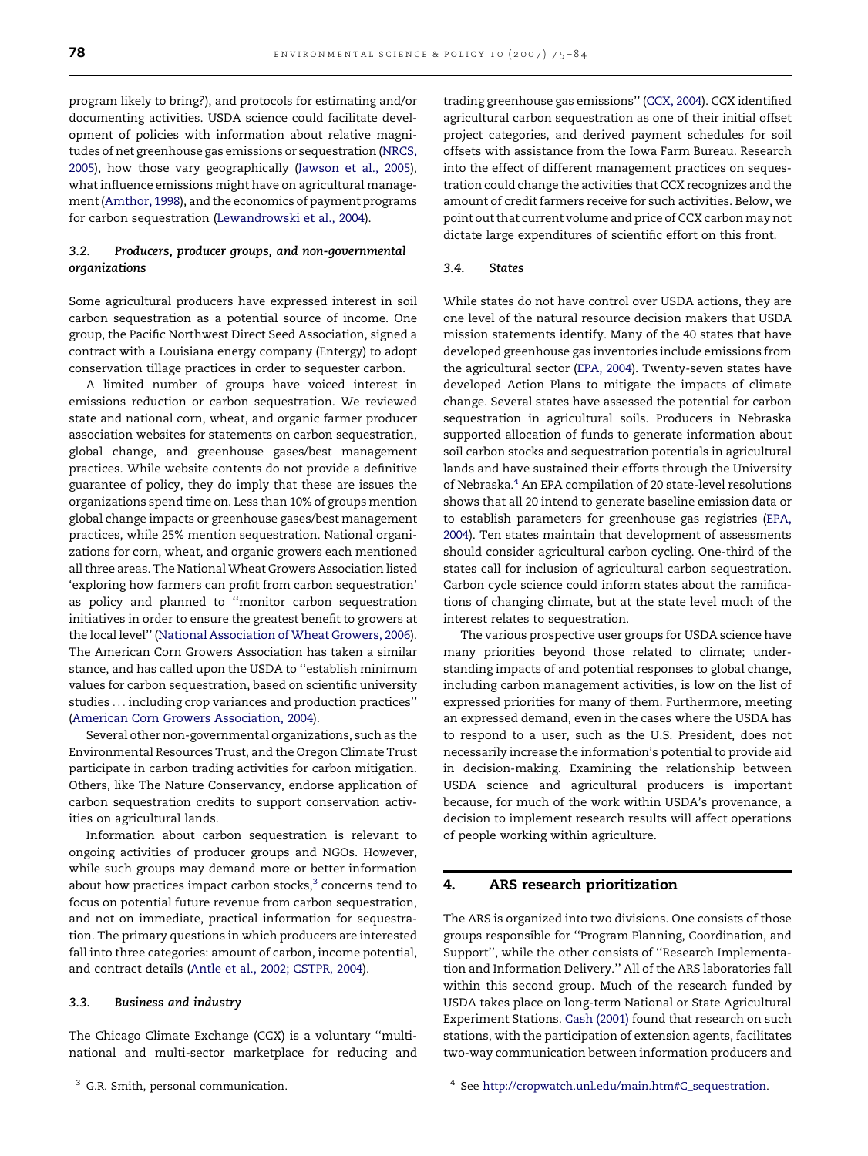program likely to bring?), and protocols for estimating and/or documenting activities. USDA science could facilitate development of policies with information about relative magnitudes of net greenhouse gas emissions or sequestration ([NRCS,](#page-9-0) [2005\)](#page-9-0), how those vary geographically ([Jawson et al., 2005\)](#page-8-0), what influence emissions might have on agricultural management ([Amthor, 1998\)](#page-8-0), and the economics of payment programs for carbon sequestration [\(Lewandrowski et al., 2004](#page-9-0)).

## 3.2. Producers, producer groups, and non-governmental organizations

Some agricultural producers have expressed interest in soil carbon sequestration as a potential source of income. One group, the Pacific Northwest Direct Seed Association, signed a contract with a Louisiana energy company (Entergy) to adopt conservation tillage practices in order to sequester carbon.

A limited number of groups have voiced interest in emissions reduction or carbon sequestration. We reviewed state and national corn, wheat, and organic farmer producer association websites for statements on carbon sequestration, global change, and greenhouse gases/best management practices. While website contents do not provide a definitive guarantee of policy, they do imply that these are issues the organizations spend time on. Less than 10% of groups mention global change impacts or greenhouse gases/best management practices, while 25% mention sequestration. National organizations for corn, wheat, and organic growers each mentioned all three areas. The National Wheat Growers Association listed 'exploring how farmers can profit from carbon sequestration' as policy and planned to ''monitor carbon sequestration initiatives in order to ensure the greatest benefit to growers at the local level'' ([National Association of Wheat Growers, 2006\)](#page-9-0). The American Corn Growers Association has taken a similar stance, and has called upon the USDA to ''establish minimum values for carbon sequestration, based on scientific university studies ... including crop variances and production practices'' ([American Corn Growers Association, 2004\)](#page-8-0).

Several other non-governmental organizations, such as the Environmental Resources Trust, and the Oregon Climate Trust participate in carbon trading activities for carbon mitigation. Others, like The Nature Conservancy, endorse application of carbon sequestration credits to support conservation activities on agricultural lands.

Information about carbon sequestration is relevant to ongoing activities of producer groups and NGOs. However, while such groups may demand more or better information about how practices impact carbon stocks, $3$  concerns tend to focus on potential future revenue from carbon sequestration, and not on immediate, practical information for sequestration. The primary questions in which producers are interested fall into three categories: amount of carbon, income potential, and contract details ([Antle et al., 2002; CSTPR, 2004\)](#page-8-0).

## 3.3. Business and industry

The Chicago Climate Exchange (CCX) is a voluntary ''multinational and multi-sector marketplace for reducing and trading greenhouse gas emissions'' ([CCX, 2004\)](#page-8-0). CCX identified agricultural carbon sequestration as one of their initial offset project categories, and derived payment schedules for soil offsets with assistance from the Iowa Farm Bureau. Research into the effect of different management practices on sequestration could change the activities that CCX recognizes and the amount of credit farmers receive for such activities. Below, we point out that current volume and price of CCX carbon may not dictate large expenditures of scientific effort on this front.

#### 3.4. States

While states do not have control over USDA actions, they are one level of the natural resource decision makers that USDA mission statements identify. Many of the 40 states that have developed greenhouse gas inventories include emissions from the agricultural sector [\(EPA, 2004\)](#page-8-0). Twenty-seven states have developed Action Plans to mitigate the impacts of climate change. Several states have assessed the potential for carbon sequestration in agricultural soils. Producers in Nebraska supported allocation of funds to generate information about soil carbon stocks and sequestration potentials in agricultural lands and have sustained their efforts through the University of Nebraska.<sup>4</sup> An EPA compilation of 20 state-level resolutions shows that all 20 intend to generate baseline emission data or to establish parameters for greenhouse gas registries [\(EPA,](#page-8-0) [2004\)](#page-8-0). Ten states maintain that development of assessments should consider agricultural carbon cycling. One-third of the states call for inclusion of agricultural carbon sequestration. Carbon cycle science could inform states about the ramifications of changing climate, but at the state level much of the interest relates to sequestration.

The various prospective user groups for USDA science have many priorities beyond those related to climate; understanding impacts of and potential responses to global change, including carbon management activities, is low on the list of expressed priorities for many of them. Furthermore, meeting an expressed demand, even in the cases where the USDA has to respond to a user, such as the U.S. President, does not necessarily increase the information's potential to provide aid in decision-making. Examining the relationship between USDA science and agricultural producers is important because, for much of the work within USDA's provenance, a decision to implement research results will affect operations of people working within agriculture.

## 4. ARS research prioritization

The ARS is organized into two divisions. One consists of those groups responsible for ''Program Planning, Coordination, and Support'', while the other consists of ''Research Implementation and Information Delivery.'' All of the ARS laboratories fall within this second group. Much of the research funded by USDA takes place on long-term National or State Agricultural Experiment Stations. [Cash \(2001\)](#page-8-0) found that research on such stations, with the participation of extension agents, facilitates two-way communication between information producers and

 $3$  G.R. Smith, personal communication.  $4$  See [http://cropwatch.unl.edu/main.htm#C\\_sequestration.](http://cropwatch.unl.edu/main.htm%23C_sequestration)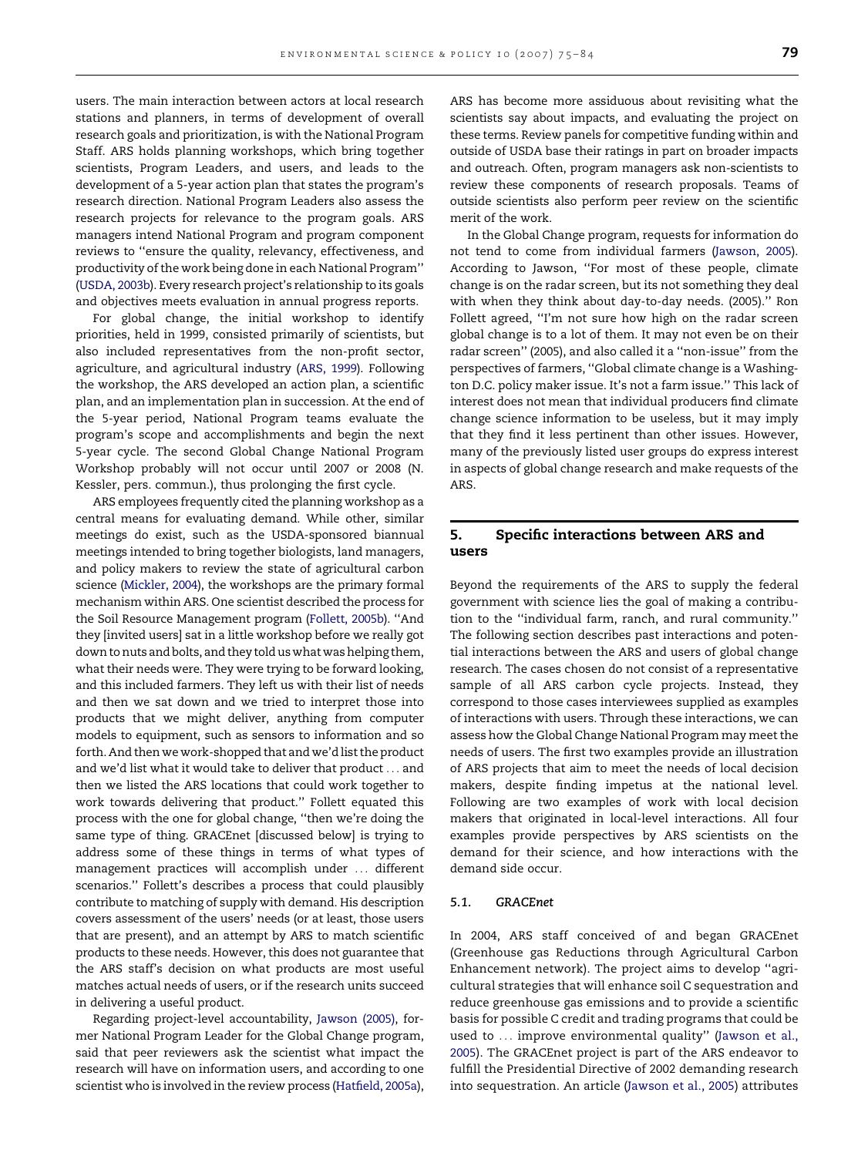users. The main interaction between actors at local research stations and planners, in terms of development of overall research goals and prioritization, is with the National Program Staff. ARS holds planning workshops, which bring together scientists, Program Leaders, and users, and leads to the development of a 5-year action plan that states the program's research direction. National Program Leaders also assess the research projects for relevance to the program goals. ARS managers intend National Program and program component reviews to ''ensure the quality, relevancy, effectiveness, and productivity of the work being done in each National Program'' [\(USDA, 2003b](#page-9-0)). Every research project's relationship to its goals and objectives meets evaluation in annual progress reports.

For global change, the initial workshop to identify priorities, held in 1999, consisted primarily of scientists, but also included representatives from the non-profit sector, agriculture, and agricultural industry ([ARS, 1999\)](#page-8-0). Following the workshop, the ARS developed an action plan, a scientific plan, and an implementation plan in succession. At the end of the 5-year period, National Program teams evaluate the program's scope and accomplishments and begin the next 5-year cycle. The second Global Change National Program Workshop probably will not occur until 2007 or 2008 (N. Kessler, pers. commun.), thus prolonging the first cycle.

ARS employees frequently cited the planning workshop as a central means for evaluating demand. While other, similar meetings do exist, such as the USDA-sponsored biannual meetings intended to bring together biologists, land managers, and policy makers to review the state of agricultural carbon science [\(Mickler, 2004\)](#page-9-0), the workshops are the primary formal mechanism within ARS. One scientist described the process for the Soil Resource Management program [\(Follett, 2005b](#page-8-0)). ''And they [invited users] sat in a little workshop before we really got down to nuts and bolts, and they told uswhatwas helping them, what their needs were. They were trying to be forward looking, and this included farmers. They left us with their list of needs and then we sat down and we tried to interpret those into products that we might deliver, anything from computer models to equipment, such as sensors to information and so forth. And then we work-shopped that and we'd list the product and we'd list what it would take to deliver that product ... and then we listed the ARS locations that could work together to work towards delivering that product.'' Follett equated this process with the one for global change, ''then we're doing the same type of thing. GRACEnet [discussed below] is trying to address some of these things in terms of what types of management practices will accomplish under ... different scenarios.'' Follett's describes a process that could plausibly contribute to matching of supply with demand. His description covers assessment of the users' needs (or at least, those users that are present), and an attempt by ARS to match scientific products to these needs. However, this does not guarantee that the ARS staff's decision on what products are most useful matches actual needs of users, or if the research units succeed in delivering a useful product.

Regarding project-level accountability, [Jawson \(2005\)](#page-8-0), former National Program Leader for the Global Change program, said that peer reviewers ask the scientist what impact the research will have on information users, and according to one scientist who is involved in the review process ([Hatfield, 2005a](#page-8-0)), ARS has become more assiduous about revisiting what the scientists say about impacts, and evaluating the project on these terms. Review panels for competitive funding within and outside of USDA base their ratings in part on broader impacts and outreach. Often, program managers ask non-scientists to review these components of research proposals. Teams of outside scientists also perform peer review on the scientific merit of the work.

In the Global Change program, requests for information do not tend to come from individual farmers [\(Jawson, 2005](#page-8-0)). According to Jawson, ''For most of these people, climate change is on the radar screen, but its not something they deal with when they think about day-to-day needs. (2005).'' Ron Follett agreed, ''I'm not sure how high on the radar screen global change is to a lot of them. It may not even be on their radar screen'' (2005), and also called it a ''non-issue'' from the perspectives of farmers, ''Global climate change is a Washington D.C. policy maker issue. It's not a farm issue.'' This lack of interest does not mean that individual producers find climate change science information to be useless, but it may imply that they find it less pertinent than other issues. However, many of the previously listed user groups do express interest in aspects of global change research and make requests of the ARS.

## 5. Specific interactions between ARS and users

Beyond the requirements of the ARS to supply the federal government with science lies the goal of making a contribution to the ''individual farm, ranch, and rural community.'' The following section describes past interactions and potential interactions between the ARS and users of global change research. The cases chosen do not consist of a representative sample of all ARS carbon cycle projects. Instead, they correspond to those cases interviewees supplied as examples of interactions with users. Through these interactions, we can assess how the Global Change National Program may meet the needs of users. The first two examples provide an illustration of ARS projects that aim to meet the needs of local decision makers, despite finding impetus at the national level. Following are two examples of work with local decision makers that originated in local-level interactions. All four examples provide perspectives by ARS scientists on the demand for their science, and how interactions with the demand side occur.

## 5.1. GRACEnet

In 2004, ARS staff conceived of and began GRACEnet (Greenhouse gas Reductions through Agricultural Carbon Enhancement network). The project aims to develop ''agricultural strategies that will enhance soil C sequestration and reduce greenhouse gas emissions and to provide a scientific basis for possible C credit and trading programs that could be used to ... improve environmental quality'' [\(Jawson et al.,](#page-8-0) [2005\)](#page-8-0). The GRACEnet project is part of the ARS endeavor to fulfill the Presidential Directive of 2002 demanding research into sequestration. An article ([Jawson et al., 2005](#page-8-0)) attributes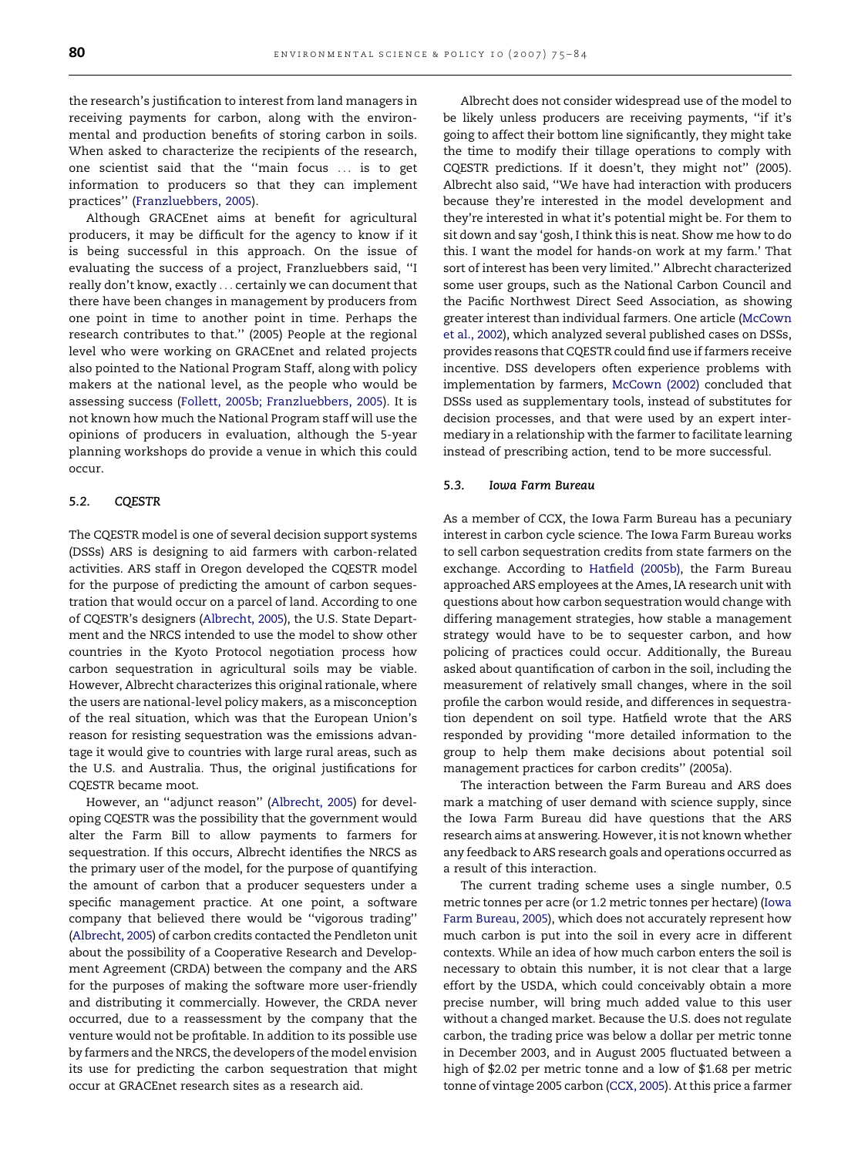the research's justification to interest from land managers in receiving payments for carbon, along with the environmental and production benefits of storing carbon in soils. When asked to characterize the recipients of the research, one scientist said that the ''main focus ... is to get information to producers so that they can implement practices'' [\(Franzluebbers, 2005\)](#page-8-0).

Although GRACEnet aims at benefit for agricultural producers, it may be difficult for the agency to know if it is being successful in this approach. On the issue of evaluating the success of a project, Franzluebbers said, ''I really don't know, exactly ... certainly we can document that there have been changes in management by producers from one point in time to another point in time. Perhaps the research contributes to that.'' (2005) People at the regional level who were working on GRACEnet and related projects also pointed to the National Program Staff, along with policy makers at the national level, as the people who would be assessing success [\(Follett, 2005b; Franzluebbers, 2005\)](#page-8-0). It is not known how much the National Program staff will use the opinions of producers in evaluation, although the 5-year planning workshops do provide a venue in which this could occur.

## 5.2. CQESTR

The CQESTR model is one of several decision support systems (DSSs) ARS is designing to aid farmers with carbon-related activities. ARS staff in Oregon developed the CQESTR model for the purpose of predicting the amount of carbon sequestration that would occur on a parcel of land. According to one of CQESTR's designers [\(Albrecht, 2005\)](#page-8-0), the U.S. State Department and the NRCS intended to use the model to show other countries in the Kyoto Protocol negotiation process how carbon sequestration in agricultural soils may be viable. However, Albrecht characterizes this original rationale, where the users are national-level policy makers, as a misconception of the real situation, which was that the European Union's reason for resisting sequestration was the emissions advantage it would give to countries with large rural areas, such as the U.S. and Australia. Thus, the original justifications for CQESTR became moot.

However, an ''adjunct reason'' [\(Albrecht, 2005](#page-8-0)) for developing CQESTR was the possibility that the government would alter the Farm Bill to allow payments to farmers for sequestration. If this occurs, Albrecht identifies the NRCS as the primary user of the model, for the purpose of quantifying the amount of carbon that a producer sequesters under a specific management practice. At one point, a software company that believed there would be ''vigorous trading'' ([Albrecht, 2005\)](#page-8-0) of carbon credits contacted the Pendleton unit about the possibility of a Cooperative Research and Development Agreement (CRDA) between the company and the ARS for the purposes of making the software more user-friendly and distributing it commercially. However, the CRDA never occurred, due to a reassessment by the company that the venture would not be profitable. In addition to its possible use by farmers and the NRCS, the developers of the model envision its use for predicting the carbon sequestration that might occur at GRACEnet research sites as a research aid.

Albrecht does not consider widespread use of the model to be likely unless producers are receiving payments, ''if it's going to affect their bottom line significantly, they might take the time to modify their tillage operations to comply with CQESTR predictions. If it doesn't, they might not'' (2005). Albrecht also said, ''We have had interaction with producers because they're interested in the model development and they're interested in what it's potential might be. For them to sit down and say 'gosh, I think this is neat. Show me how to do this. I want the model for hands-on work at my farm.' That sort of interest has been very limited.'' Albrecht characterized some user groups, such as the National Carbon Council and the Pacific Northwest Direct Seed Association, as showing greater interest than individual farmers. One article [\(McCown](#page-9-0) [et al., 2002](#page-9-0)), which analyzed several published cases on DSSs, provides reasons that CQESTR could find use if farmers receive incentive. DSS developers often experience problems with implementation by farmers, [McCown \(2002\)](#page-9-0) concluded that DSSs used as supplementary tools, instead of substitutes for decision processes, and that were used by an expert intermediary in a relationship with the farmer to facilitate learning instead of prescribing action, tend to be more successful.

#### 5.3. Iowa Farm Bureau

As a member of CCX, the Iowa Farm Bureau has a pecuniary interest in carbon cycle science. The Iowa Farm Bureau works to sell carbon sequestration credits from state farmers on the exchange. According to [Hatfield \(2005b\),](#page-8-0) the Farm Bureau approached ARS employees at the Ames, IA research unit with questions about how carbon sequestration would change with differing management strategies, how stable a management strategy would have to be to sequester carbon, and how policing of practices could occur. Additionally, the Bureau asked about quantification of carbon in the soil, including the measurement of relatively small changes, where in the soil profile the carbon would reside, and differences in sequestration dependent on soil type. Hatfield wrote that the ARS responded by providing ''more detailed information to the group to help them make decisions about potential soil management practices for carbon credits'' (2005a).

The interaction between the Farm Bureau and ARS does mark a matching of user demand with science supply, since the Iowa Farm Bureau did have questions that the ARS research aims at answering. However, it is not known whether any feedback to ARS research goals and operations occurred as a result of this interaction.

The current trading scheme uses a single number, 0.5 metric tonnes per acre (or 1.2 metric tonnes per hectare) ([Iowa](#page-8-0) [Farm Bureau, 2005](#page-8-0)), which does not accurately represent how much carbon is put into the soil in every acre in different contexts. While an idea of how much carbon enters the soil is necessary to obtain this number, it is not clear that a large effort by the USDA, which could conceivably obtain a more precise number, will bring much added value to this user without a changed market. Because the U.S. does not regulate carbon, the trading price was below a dollar per metric tonne in December 2003, and in August 2005 fluctuated between a high of \$2.02 per metric tonne and a low of \$1.68 per metric tonne of vintage 2005 carbon [\(CCX, 2005](#page-8-0)). At this price a farmer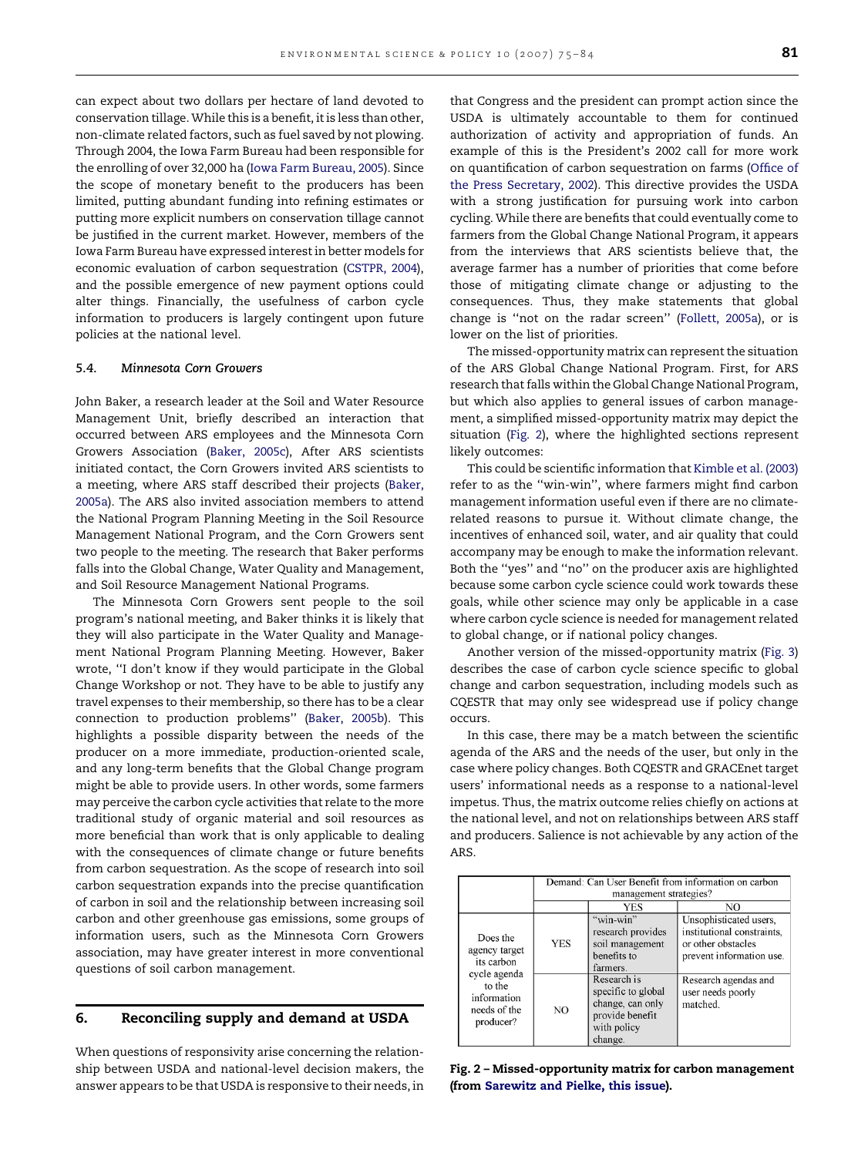can expect about two dollars per hectare of land devoted to conservation tillage. While this is a benefit, it is less than other, non-climate related factors, such as fuel saved by not plowing. Through 2004, the Iowa Farm Bureau had been responsible for the enrolling of over 32,000 ha ([Iowa Farm Bureau, 2005](#page-8-0)). Since the scope of monetary benefit to the producers has been limited, putting abundant funding into refining estimates or putting more explicit numbers on conservation tillage cannot be justified in the current market. However, members of the Iowa Farm Bureau have expressed interest in better models for economic evaluation of carbon sequestration ([CSTPR, 2004](#page-8-0)), and the possible emergence of new payment options could alter things. Financially, the usefulness of carbon cycle information to producers is largely contingent upon future policies at the national level.

#### 5.4. Minnesota Corn Growers

John Baker, a research leader at the Soil and Water Resource Management Unit, briefly described an interaction that occurred between ARS employees and the Minnesota Corn Growers Association [\(Baker, 2005c](#page-8-0)), After ARS scientists initiated contact, the Corn Growers invited ARS scientists to a meeting, where ARS staff described their projects ([Baker,](#page-8-0) [2005a\)](#page-8-0). The ARS also invited association members to attend the National Program Planning Meeting in the Soil Resource Management National Program, and the Corn Growers sent two people to the meeting. The research that Baker performs falls into the Global Change, Water Quality and Management, and Soil Resource Management National Programs.

The Minnesota Corn Growers sent people to the soil program's national meeting, and Baker thinks it is likely that they will also participate in the Water Quality and Management National Program Planning Meeting. However, Baker wrote, ''I don't know if they would participate in the Global Change Workshop or not. They have to be able to justify any travel expenses to their membership, so there has to be a clear connection to production problems'' ([Baker, 2005b\)](#page-8-0). This highlights a possible disparity between the needs of the producer on a more immediate, production-oriented scale, and any long-term benefits that the Global Change program might be able to provide users. In other words, some farmers may perceive the carbon cycle activities that relate to the more traditional study of organic material and soil resources as more beneficial than work that is only applicable to dealing with the consequences of climate change or future benefits from carbon sequestration. As the scope of research into soil carbon sequestration expands into the precise quantification of carbon in soil and the relationship between increasing soil carbon and other greenhouse gas emissions, some groups of information users, such as the Minnesota Corn Growers association, may have greater interest in more conventional questions of soil carbon management.

## 6. Reconciling supply and demand at USDA

When questions of responsivity arise concerning the relationship between USDA and national-level decision makers, the answer appears to be that USDA is responsive to their needs, in that Congress and the president can prompt action since the USDA is ultimately accountable to them for continued authorization of activity and appropriation of funds. An example of this is the President's 2002 call for more work on quantification of carbon sequestration on farms [\(Office of](#page-9-0) [the Press Secretary, 2002\)](#page-9-0). This directive provides the USDA with a strong justification for pursuing work into carbon cycling. While there are benefits that could eventually come to farmers from the Global Change National Program, it appears from the interviews that ARS scientists believe that, the average farmer has a number of priorities that come before those of mitigating climate change or adjusting to the consequences. Thus, they make statements that global change is ''not on the radar screen'' [\(Follett, 2005a](#page-8-0)), or is lower on the list of priorities.

The missed-opportunity matrix can represent the situation of the ARS Global Change National Program. First, for ARS research that falls within the Global Change National Program, but which also applies to general issues of carbon management, a simplified missed-opportunity matrix may depict the situation (Fig. 2), where the highlighted sections represent likely outcomes:

This could be scientific information that [Kimble et al. \(2003\)](#page-8-0) refer to as the ''win-win'', where farmers might find carbon management information useful even if there are no climaterelated reasons to pursue it. Without climate change, the incentives of enhanced soil, water, and air quality that could accompany may be enough to make the information relevant. Both the ''yes'' and ''no'' on the producer axis are highlighted because some carbon cycle science could work towards these goals, while other science may only be applicable in a case where carbon cycle science is needed for management related to global change, or if national policy changes.

Another version of the missed-opportunity matrix ([Fig. 3\)](#page-7-0) describes the case of carbon cycle science specific to global change and carbon sequestration, including models such as CQESTR that may only see widespread use if policy change occurs.

In this case, there may be a match between the scientific agenda of the ARS and the needs of the user, but only in the case where policy changes. Both CQESTR and GRACEnet target users' informational needs as a response to a national-level impetus. Thus, the matrix outcome relies chiefly on actions at the national level, and not on relationships between ARS staff and producers. Salience is not achievable by any action of the ARS.

|                                                                    | Demand: Can User Benefit from information on carbon<br>management strategies? |                                                                                                    |                                                                                                        |  |
|--------------------------------------------------------------------|-------------------------------------------------------------------------------|----------------------------------------------------------------------------------------------------|--------------------------------------------------------------------------------------------------------|--|
|                                                                    |                                                                               | <b>YES</b>                                                                                         | NO                                                                                                     |  |
| Does the<br>agency target<br>its carbon                            | <b>YES</b>                                                                    | "win-win"<br>research provides<br>soil management<br>benefits to<br>farmers.                       | Unsophisticated users,<br>institutional constraints,<br>or other obstacles<br>prevent information use. |  |
| cycle agenda<br>to the<br>information<br>needs of the<br>producer? | NO                                                                            | Research is<br>specific to global<br>change, can only<br>provide benefit<br>with policy<br>change. | Research agendas and<br>user needs poorly<br>matched.                                                  |  |

Fig. 2 – Missed-opportunity matrix for carbon management (from [Sarewitz and Pielke, this issue\)](#page-9-0).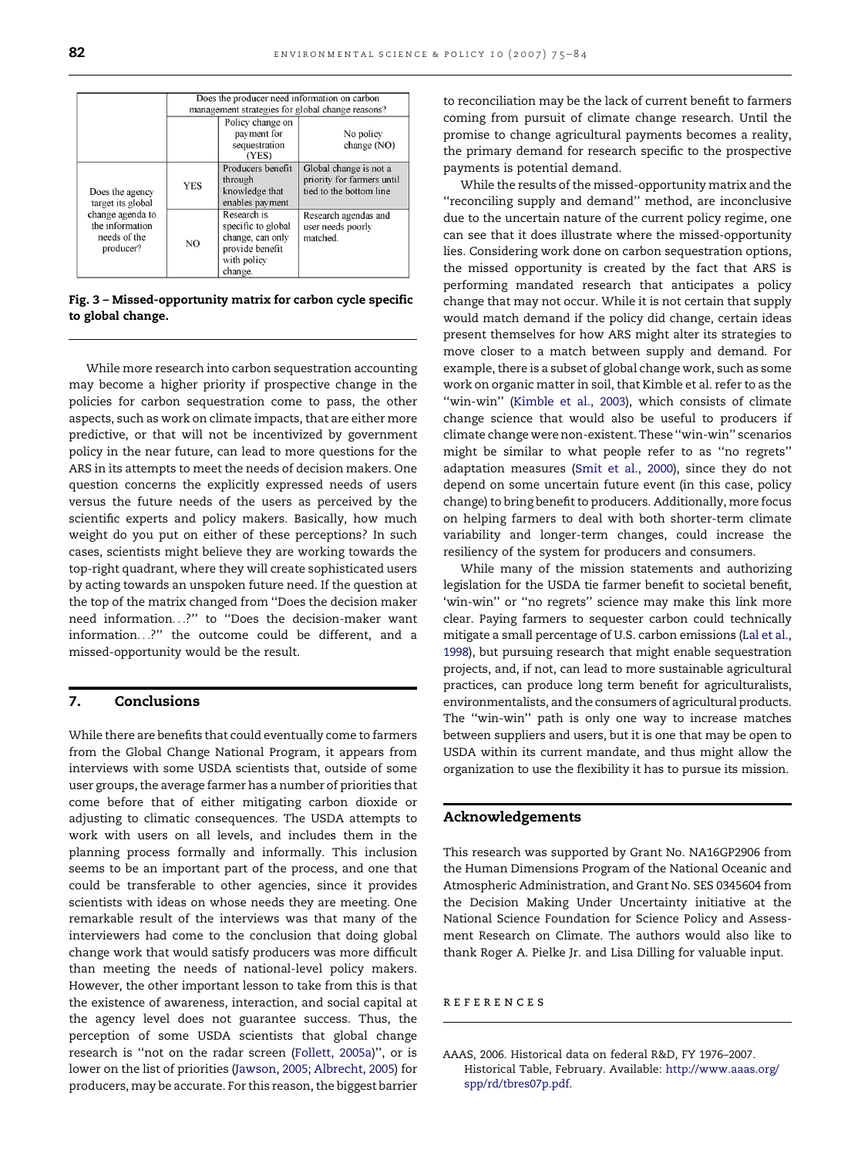<span id="page-7-0"></span>

|                                                                  | Does the producer need information on carbon<br>management strategies for global change reasons? |                                                                                                    |                                                                                 |
|------------------------------------------------------------------|--------------------------------------------------------------------------------------------------|----------------------------------------------------------------------------------------------------|---------------------------------------------------------------------------------|
|                                                                  |                                                                                                  | Policy change on<br>payment for<br>sequestration<br>(YES)                                          | No policy<br>change (NO)                                                        |
| Does the agency<br>target its global                             | <b>YES</b>                                                                                       | Producers benefit<br>through<br>knowledge that<br>enables payment                                  | Global change is not a<br>priority for farmers until<br>tied to the bottom line |
| change agenda to<br>the information<br>needs of the<br>producer? | N <sub>O</sub>                                                                                   | Research is<br>specific to global<br>change, can only<br>provide benefit<br>with policy<br>change. | Research agendas and<br>user needs poorly<br>matched.                           |

Fig. 3 – Missed-opportunity matrix for carbon cycle specific to global change.

While more research into carbon sequestration accounting may become a higher priority if prospective change in the policies for carbon sequestration come to pass, the other aspects, such as work on climate impacts, that are either more predictive, or that will not be incentivized by government policy in the near future, can lead to more questions for the ARS in its attempts to meet the needs of decision makers. One question concerns the explicitly expressed needs of users versus the future needs of the users as perceived by the scientific experts and policy makers. Basically, how much weight do you put on either of these perceptions? In such cases, scientists might believe they are working towards the top-right quadrant, where they will create sophisticated users by acting towards an unspoken future need. If the question at the top of the matrix changed from ''Does the decision maker need information...?'' to ''Does the decision-maker want information...?'' the outcome could be different, and a missed-opportunity would be the result.

## 7. Conclusions

While there are benefits that could eventually come to farmers from the Global Change National Program, it appears from interviews with some USDA scientists that, outside of some user groups, the average farmer has a number of priorities that come before that of either mitigating carbon dioxide or adjusting to climatic consequences. The USDA attempts to work with users on all levels, and includes them in the planning process formally and informally. This inclusion seems to be an important part of the process, and one that could be transferable to other agencies, since it provides scientists with ideas on whose needs they are meeting. One remarkable result of the interviews was that many of the interviewers had come to the conclusion that doing global change work that would satisfy producers was more difficult than meeting the needs of national-level policy makers. However, the other important lesson to take from this is that the existence of awareness, interaction, and social capital at the agency level does not guarantee success. Thus, the perception of some USDA scientists that global change research is ''not on the radar screen ([Follett, 2005a](#page-8-0))'', or is lower on the list of priorities ([Jawson, 2005; Albrecht, 2005\)](#page-8-0) for producers, may be accurate. For this reason, the biggest barrier

to reconciliation may be the lack of current benefit to farmers coming from pursuit of climate change research. Until the promise to change agricultural payments becomes a reality, the primary demand for research specific to the prospective payments is potential demand.

While the results of the missed-opportunity matrix and the ''reconciling supply and demand'' method, are inconclusive due to the uncertain nature of the current policy regime, one can see that it does illustrate where the missed-opportunity lies. Considering work done on carbon sequestration options, the missed opportunity is created by the fact that ARS is performing mandated research that anticipates a policy change that may not occur. While it is not certain that supply would match demand if the policy did change, certain ideas present themselves for how ARS might alter its strategies to move closer to a match between supply and demand. For example, there is a subset of global change work, such as some work on organic matter in soil, that Kimble et al. refer to as the ''win-win'' ([Kimble et al., 2003](#page-8-0)), which consists of climate change science that would also be useful to producers if climate change were non-existent. These ''win-win'' scenarios might be similar to what people refer to as ''no regrets'' adaptation measures ([Smit et al., 2000\)](#page-9-0), since they do not depend on some uncertain future event (in this case, policy change) to bring benefit to producers. Additionally, more focus on helping farmers to deal with both shorter-term climate variability and longer-term changes, could increase the resiliency of the system for producers and consumers.

While many of the mission statements and authorizing legislation for the USDA tie farmer benefit to societal benefit, 'win-win'' or ''no regrets'' science may make this link more clear. Paying farmers to sequester carbon could technically mitigate a small percentage of U.S. carbon emissions ([Lal et al.,](#page-9-0) [1998\)](#page-9-0), but pursuing research that might enable sequestration projects, and, if not, can lead to more sustainable agricultural practices, can produce long term benefit for agriculturalists, environmentalists, and the consumers of agricultural products. The ''win-win'' path is only one way to increase matches between suppliers and users, but it is one that may be open to USDA within its current mandate, and thus might allow the organization to use the flexibility it has to pursue its mission.

## Acknowledgements

This research was supported by Grant No. NA16GP2906 from the Human Dimensions Program of the National Oceanic and Atmospheric Administration, and Grant No. SES 0345604 from the Decision Making Under Uncertainty initiative at the National Science Foundation for Science Policy and Assessment Research on Climate. The authors would also like to thank Roger A. Pielke Jr. and Lisa Dilling for valuable input.

references

AAAS, 2006. Historical data on federal R&D, FY 1976–2007. Historical Table, February. Available: [http://www.aaas.org/](http://www.aaas.org/spp/rd/tbres07p.pdf) [spp/rd/tbres07p.pdf.](http://www.aaas.org/spp/rd/tbres07p.pdf)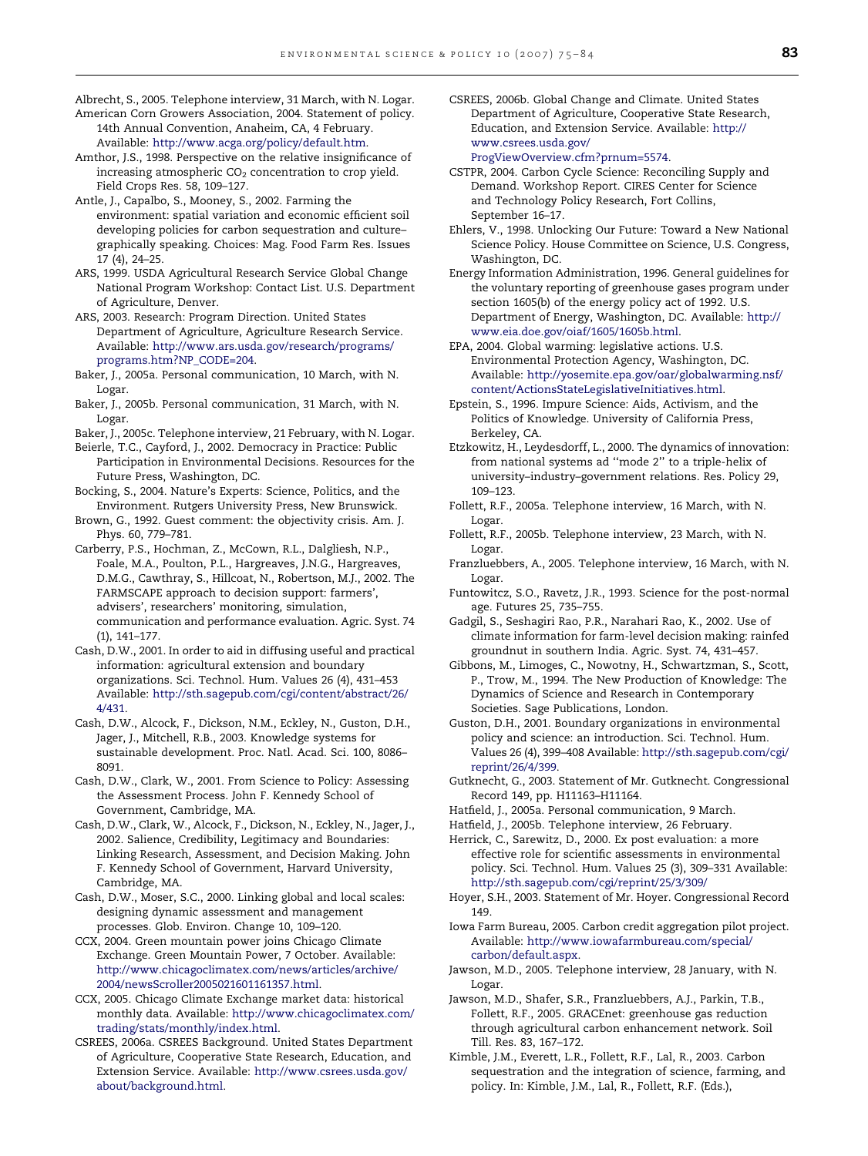- <span id="page-8-0"></span>Albrecht, S., 2005. Telephone interview, 31 March, with N. Logar. American Corn Growers Association, 2004. Statement of policy.
- 14th Annual Convention, Anaheim, CA, 4 February. Available: <http://www.acga.org/policy/default.htm>.
- Amthor, J.S., 1998. Perspective on the relative insignificance of increasing atmospheric  $CO<sub>2</sub>$  concentration to crop yield. Field Crops Res. 58, 109–127.
- Antle, J., Capalbo, S., Mooney, S., 2002. Farming the environment: spatial variation and economic efficient soil developing policies for carbon sequestration and culture– graphically speaking. Choices: Mag. Food Farm Res. Issues 17 (4), 24–25.
- ARS, 1999. USDA Agricultural Research Service Global Change National Program Workshop: Contact List. U.S. Department of Agriculture, Denver.
- ARS, 2003. Research: Program Direction. United States Department of Agriculture, Agriculture Research Service. Available: [http://www.ars.usda.gov/research/programs/](http://www.ars.usda.gov/research/programs/programs.htm%3FNP_CODE=204) [programs.htm?NP\\_CODE=204](http://www.ars.usda.gov/research/programs/programs.htm%3FNP_CODE=204).
- Baker, J., 2005a. Personal communication, 10 March, with N. Logar.
- Baker, J., 2005b. Personal communication, 31 March, with N. Logar.
- Baker, J., 2005c. Telephone interview, 21 February, with N. Logar.
- Beierle, T.C., Cayford, J., 2002. Democracy in Practice: Public Participation in Environmental Decisions. Resources for the Future Press, Washington, DC.
- Bocking, S., 2004. Nature's Experts: Science, Politics, and the Environment. Rutgers University Press, New Brunswick.
- Brown, G., 1992. Guest comment: the objectivity crisis. Am. J. Phys. 60, 779–781.
- Carberry, P.S., Hochman, Z., McCown, R.L., Dalgliesh, N.P., Foale, M.A., Poulton, P.L., Hargreaves, J.N.G., Hargreaves, D.M.G., Cawthray, S., Hillcoat, N., Robertson, M.J., 2002. The FARMSCAPE approach to decision support: farmers', advisers', researchers' monitoring, simulation, communication and performance evaluation. Agric. Syst. 74 (1), 141–177.
- Cash, D.W., 2001. In order to aid in diffusing useful and practical information: agricultural extension and boundary organizations. Sci. Technol. Hum. Values 26 (4), 431–453 Available: [http://sth.sagepub.com/cgi/content/abstract/26/](http://sth.sagepub.com/cgi/content/abstract/26/4/431) [4/431.](http://sth.sagepub.com/cgi/content/abstract/26/4/431)
- Cash, D.W., Alcock, F., Dickson, N.M., Eckley, N., Guston, D.H., Jager, J., Mitchell, R.B., 2003. Knowledge systems for sustainable development. Proc. Natl. Acad. Sci. 100, 8086– 8091.
- Cash, D.W., Clark, W., 2001. From Science to Policy: Assessing the Assessment Process. John F. Kennedy School of Government, Cambridge, MA.
- Cash, D.W., Clark, W., Alcock, F., Dickson, N., Eckley, N., Jager, J., 2002. Salience, Credibility, Legitimacy and Boundaries: Linking Research, Assessment, and Decision Making. John F. Kennedy School of Government, Harvard University, Cambridge, MA.
- Cash, D.W., Moser, S.C., 2000. Linking global and local scales: designing dynamic assessment and management processes. Glob. Environ. Change 10, 109–120.
- CCX, 2004. Green mountain power joins Chicago Climate Exchange. Green Mountain Power, 7 October. Available: [http://www.chicagoclimatex.com/news/articles/archive/](http://www.chicagoclimatex.com/news/articles/archive/2004/newsScroller2005021601161357.html) [2004/newsScroller2005021601161357.html.](http://www.chicagoclimatex.com/news/articles/archive/2004/newsScroller2005021601161357.html)
- CCX, 2005. Chicago Climate Exchange market data: historical monthly data. Available: [http://www.chicagoclimatex.com/](http://www.chicagoclimatex.com/trading/stats/monthly/index.html) [trading/stats/monthly/index.html.](http://www.chicagoclimatex.com/trading/stats/monthly/index.html)
- CSREES, 2006a. CSREES Background. United States Department of Agriculture, Cooperative State Research, Education, and Extension Service. Available: [http://www.csrees.usda.gov/](http://www.csrees.usda.gov/about/background.html) [about/background.html](http://www.csrees.usda.gov/about/background.html).
- CSREES, 2006b. Global Change and Climate. United States Department of Agriculture, Cooperative State Research, Education, and Extension Service. Available: [http://](http://www.csrees.usda.gov/ProgViewOverview.cfm%3Fprnum=5574) [www.csrees.usda.gov/](http://www.csrees.usda.gov/ProgViewOverview.cfm%3Fprnum=5574) [ProgViewOverview.cfm?prnum=5574.](http://www.csrees.usda.gov/ProgViewOverview.cfm%3Fprnum=5574)
- CSTPR, 2004. Carbon Cycle Science: Reconciling Supply and Demand. Workshop Report. CIRES Center for Science and Technology Policy Research, Fort Collins, September 16–17.
- Ehlers, V., 1998. Unlocking Our Future: Toward a New National Science Policy. House Committee on Science, U.S. Congress, Washington, DC.
- Energy Information Administration, 1996. General guidelines for the voluntary reporting of greenhouse gases program under section 1605(b) of the energy policy act of 1992. U.S. Department of Energy, Washington, DC. Available: [http://](http://www.eia.doe.gov/oiaf/1605/1605b.html) [www.eia.doe.gov/oiaf/1605/1605b.html.](http://www.eia.doe.gov/oiaf/1605/1605b.html)
- EPA, 2004. Global warming: legislative actions. U.S. Environmental Protection Agency, Washington, DC. Available: [http://yosemite.epa.gov/oar/globalwarming.nsf/](http://yosemite.epa.gov/oar/globalwarming.nsf/content/ActionsStateLegislativeInitiatives.html) [content/ActionsStateLegislativeInitiatives.html](http://yosemite.epa.gov/oar/globalwarming.nsf/content/ActionsStateLegislativeInitiatives.html).
- Epstein, S., 1996. Impure Science: Aids, Activism, and the Politics of Knowledge. University of California Press, Berkeley, CA.
- Etzkowitz, H., Leydesdorff, L., 2000. The dynamics of innovation: from national systems ad ''mode 2'' to a triple-helix of university–industry–government relations. Res. Policy 29, 109–123.
- Follett, R.F., 2005a. Telephone interview, 16 March, with N. Logar.
- Follett, R.F., 2005b. Telephone interview, 23 March, with N. Logar.
- Franzluebbers, A., 2005. Telephone interview, 16 March, with N. Logar.
- Funtowitcz, S.O., Ravetz, J.R., 1993. Science for the post-normal age. Futures 25, 735–755.
- Gadgil, S., Seshagiri Rao, P.R., Narahari Rao, K., 2002. Use of climate information for farm-level decision making: rainfed groundnut in southern India. Agric. Syst. 74, 431–457.
- Gibbons, M., Limoges, C., Nowotny, H., Schwartzman, S., Scott, P., Trow, M., 1994. The New Production of Knowledge: The Dynamics of Science and Research in Contemporary Societies. Sage Publications, London.
- Guston, D.H., 2001. Boundary organizations in environmental policy and science: an introduction. Sci. Technol. Hum. Values 26 (4), 399–408 Available: [http://sth.sagepub.com/cgi/](http://sth.sagepub.com/cgi/reprint/26/4/399) [reprint/26/4/399.](http://sth.sagepub.com/cgi/reprint/26/4/399)
- Gutknecht, G., 2003. Statement of Mr. Gutknecht. Congressional Record 149, pp. H11163–H11164.
- Hatfield, J., 2005a. Personal communication, 9 March.
- Hatfield, J., 2005b. Telephone interview, 26 February.
- Herrick, C., Sarewitz, D., 2000. Ex post evaluation: a more effective role for scientific assessments in environmental policy. Sci. Technol. Hum. Values 25 (3), 309–331 Available: <http://sth.sagepub.com/cgi/reprint/25/3/309/>
- Hoyer, S.H., 2003. Statement of Mr. Hoyer. Congressional Record 149.
- Iowa Farm Bureau, 2005. Carbon credit aggregation pilot project. Available: [http://www.iowafarmbureau.com/special/](http://www.iowafarmbureau.com/special/carbon/default.aspx) [carbon/default.aspx.](http://www.iowafarmbureau.com/special/carbon/default.aspx)
- Jawson, M.D., 2005. Telephone interview, 28 January, with N. Logar.
- Jawson, M.D., Shafer, S.R., Franzluebbers, A.J., Parkin, T.B., Follett, R.F., 2005. GRACEnet: greenhouse gas reduction through agricultural carbon enhancement network. Soil Till. Res. 83, 167–172.
- Kimble, J.M., Everett, L.R., Follett, R.F., Lal, R., 2003. Carbon sequestration and the integration of science, farming, and policy. In: Kimble, J.M., Lal, R., Follett, R.F. (Eds.),